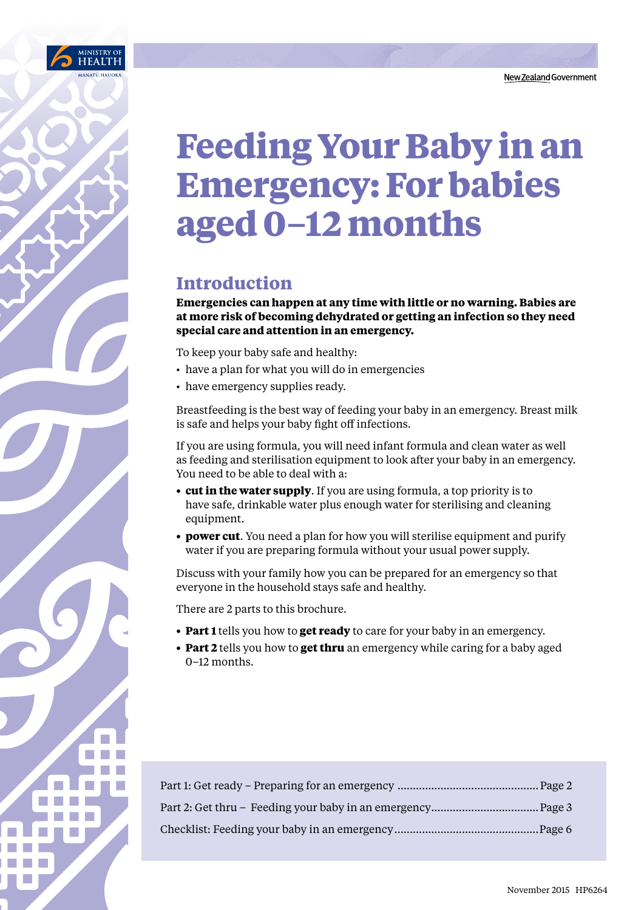

# **Feeding Your Baby in an Emergency: For babies aged 0–12 months**

# **Introduction**

**Emergencies can happen at any time with little or no warning. Babies are at more risk of becoming dehydrated or getting an infection so they need special care and attention in an emergency.** 

To keep your baby safe and healthy:

- have a plan for what you will do in emergencies
- have emergency supplies ready.

Breastfeeding is the best way of feeding your baby in an emergency. Breast milk is safe and helps your baby fight off infections.

If you are using formula, you will need infant formula and clean water as well as feeding and sterilisation equipment to look after your baby in an emergency. You need to be able to deal with a:

- **cut in the water supply**. If you are using formula, a top priority is to have safe, drinkable water plus enough water for sterilising and cleaning equipment.
- **power cut**. You need a plan for how you will sterilise equipment and purify water if you are preparing formula without your usual power supply.

Discuss with your family how you can be prepared for an emergency so that everyone in the household stays safe and healthy.

There are 2 parts to this brochure.

- **Part 1** tells you how to **get ready** to care for your baby in an emergency.
- **Part 2** tells you how to **get thru** an emergency while caring for a baby aged 0–12 months.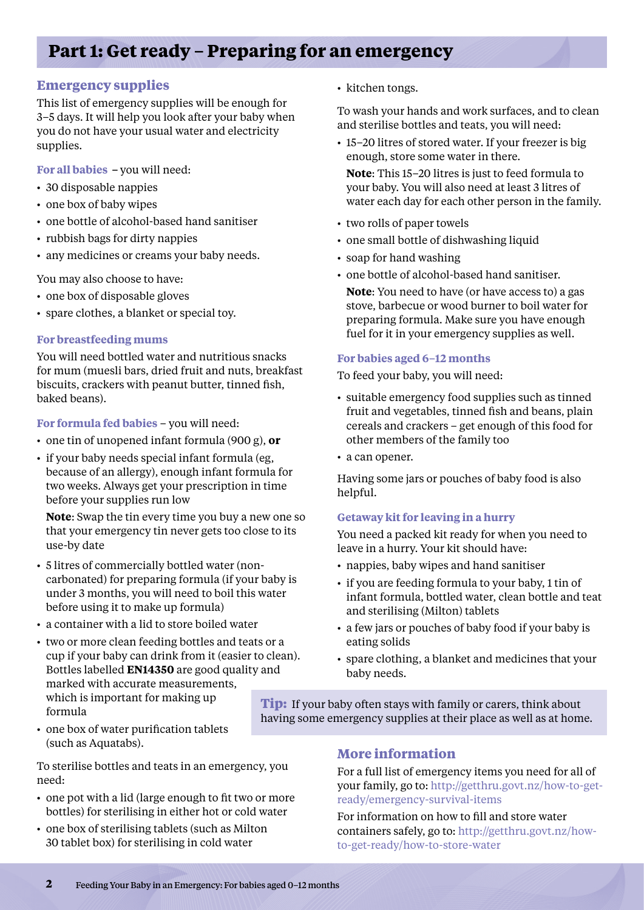# **Part 1: Get ready – Preparing for an emergency**

# **Emergency supplies**

This list of emergency supplies will be enough for 3–5 days. It will help you look after your baby when you do not have your usual water and electricity supplies.

**For all babies –** you will need:

- 30 disposable nappies
- one box of baby wipes
- one bottle of alcohol-based hand sanitiser
- rubbish bags for dirty nappies
- any medicines or creams your baby needs.

You may also choose to have:

- one box of disposable gloves
- spare clothes, a blanket or special toy.

#### **For breastfeeding mums**

You will need bottled water and nutritious snacks for mum (muesli bars, dried fruit and nuts, breakfast biscuits, crackers with peanut butter, tinned fish, baked beans).

**For formula fed babies** – you will need:

- • one tin of unopened infant formula (900 g), **or**
- if your baby needs special infant formula (eg, because of an allergy), enough infant formula for two weeks. Always get your prescription in time before your supplies run low

**Note**: Swap the tin every time you buy a new one so that your emergency tin never gets too close to its use-by date

- • 5 litres of commercially bottled water (noncarbonated) for preparing formula (if your baby is under 3 months, you will need to boil this water before using it to make up formula)
- a container with a lid to store boiled water
- two or more clean feeding bottles and teats or a cup if your baby can drink from it (easier to clean). Bottles labelled **EN14350** are good quality and marked with accurate measurements, which is important for making up formula
- one box of water purification tablets (such as Aquatabs).

To sterilise bottles and teats in an emergency, you need:

- one pot with a lid (large enough to fit two or more bottles) for sterilising in either hot or cold water
- one box of sterilising tablets (such as Milton 30 tablet box) for sterilising in cold water

• kitchen tongs.

To wash your hands and work surfaces, and to clean and sterilise bottles and teats, you will need:

• 15–20 litres of stored water. If your freezer is big enough, store some water in there.

**Note**: This 15–20 litres is just to feed formula to your baby. You will also need at least 3 litres of water each day for each other person in the family.

- two rolls of paper towels
- one small bottle of dishwashing liquid
- soap for hand washing
- one bottle of alcohol-based hand sanitiser.

**Note**: You need to have (or have access to) a gas stove, barbecue or wood burner to boil water for preparing formula. Make sure you have enough fuel for it in your emergency supplies as well.

## **For babies aged 6–12 months**

To feed your baby, you will need:

- suitable emergency food supplies such as tinned fruit and vegetables, tinned fish and beans, plain cereals and crackers – get enough of this food for other members of the family too
- a can opener.

Having some jars or pouches of baby food is also helpful.

#### **Getaway kit for leaving in a hurry**

You need a packed kit ready for when you need to leave in a hurry. Your kit should have:

- nappies, baby wipes and hand sanitiser
- if you are feeding formula to your baby, 1 tin of infant formula, bottled water, clean bottle and teat and sterilising (Milton) tablets
- a few jars or pouches of baby food if your baby is eating solids
- • spare clothing, a blanket and medicines that your baby needs.

**Tip:** If your baby often stays with family or carers, think about having some emergency supplies at their place as well as at home.

# **More information**

For a full list of emergency items you need for all of your family, go to: http://getthru.govt.nz/how-to-getready/emergency-survival-items

For information on how to fill and store water containers safely, go to: http://getthru.govt.nz/howto-get-ready/how-to-store-water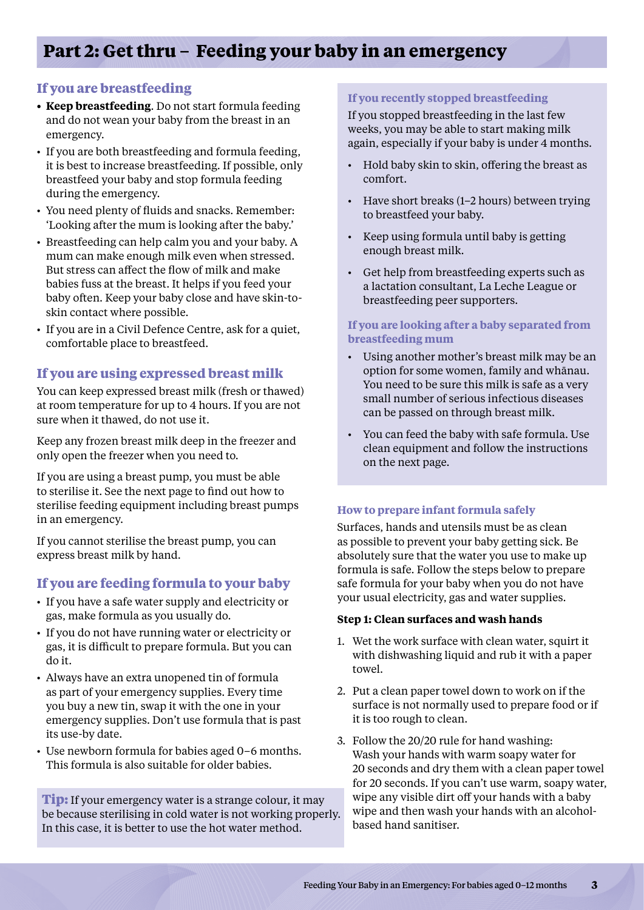# **If you are breastfeeding**

- **• Keep breastfeeding**. Do not start formula feeding and do not wean your baby from the breast in an emergency.
- If you are both breastfeeding and formula feeding, it is best to increase breastfeeding. If possible, only breastfeed your baby and stop formula feeding during the emergency.
- You need plenty of fluids and snacks. Remember: 'Looking after the mum is looking after the baby.'
- Breastfeeding can help calm you and your baby. A mum can make enough milk even when stressed. But stress can affect the flow of milk and make babies fuss at the breast. It helps if you feed your baby often. Keep your baby close and have skin-toskin contact where possible.
- If you are in a Civil Defence Centre, ask for a quiet, comfortable place to breastfeed.

# **If you are using expressed breast milk**

You can keep expressed breast milk (fresh or thawed) at room temperature for up to 4 hours. If you are not sure when it thawed, do not use it.

Keep any frozen breast milk deep in the freezer and only open the freezer when you need to.

If you are using a breast pump, you must be able to sterilise it. See the next page to find out how to sterilise feeding equipment including breast pumps in an emergency.

If you cannot sterilise the breast pump, you can express breast milk by hand.

# **If you are feeding formula to your baby**

- If you have a safe water supply and electricity or gas, make formula as you usually do.
- If you do not have running water or electricity or gas, it is difficult to prepare formula. But you can do it.
- Always have an extra unopened tin of formula as part of your emergency supplies. Every time you buy a new tin, swap it with the one in your emergency supplies. Don't use formula that is past its use-by date.
- Use newborn formula for babies aged 0–6 months. This formula is also suitable for older babies.

**Tip:** If your emergency water is a strange colour, it may be because sterilising in cold water is not working properly. In this case, it is better to use the hot water method.

## **If you recently stopped breastfeeding**

If you stopped breastfeeding in the last few weeks, you may be able to start making milk again, especially if your baby is under 4 months.

- • Hold baby skin to skin, offering the breast as comfort.
- • Have short breaks (1–2 hours) between trying to breastfeed your baby.
- • Keep using formula until baby is getting enough breast milk.
- • Get help from breastfeeding experts such as a lactation consultant, La Leche League or breastfeeding peer supporters.

#### **If you are looking after a baby separated from breastfeeding mum**

- • Using another mother's breast milk may be an option for some women, family and whānau. You need to be sure this milk is safe as a very small number of serious infectious diseases can be passed on through breast milk.
- • You can feed the baby with safe formula. Use clean equipment and follow the instructions on the next page.

#### **How to prepare infant formula safely**

Surfaces, hands and utensils must be as clean as possible to prevent your baby getting sick. Be absolutely sure that the water you use to make up formula is safe. Follow the steps below to prepare safe formula for your baby when you do not have your usual electricity, gas and water supplies.

#### **Step 1: Clean surfaces and wash hands**

- 1. Wet the work surface with clean water, squirt it with dishwashing liquid and rub it with a paper towel.
- 2. Put a clean paper towel down to work on if the surface is not normally used to prepare food or if it is too rough to clean.
- 3. Follow the 20/20 rule for hand washing: Wash your hands with warm soapy water for 20 seconds and dry them with a clean paper towel for 20 seconds. If you can't use warm, soapy water, wipe any visible dirt off your hands with a baby wipe and then wash your hands with an alcoholbased hand sanitiser.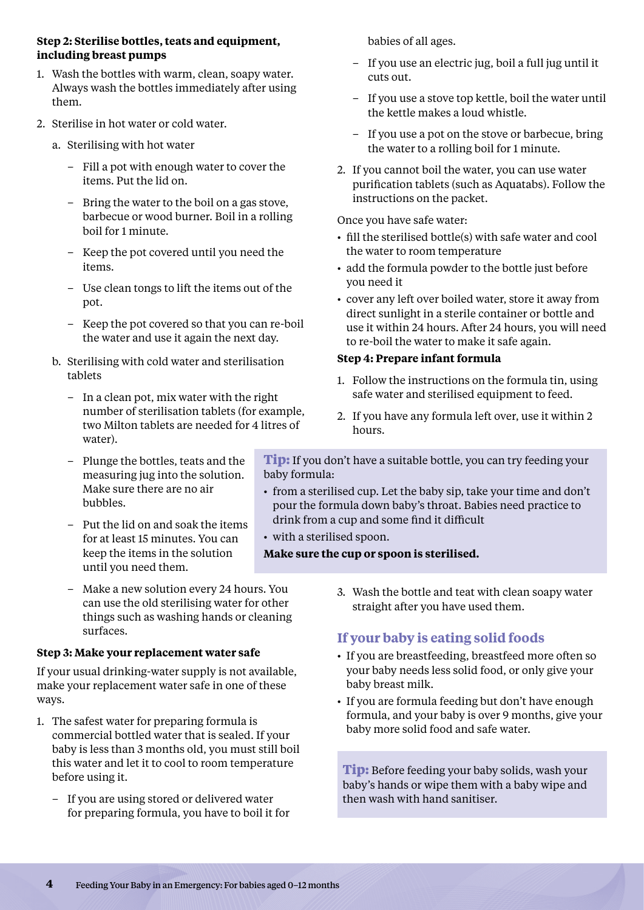#### **Step 2: Sterilise bottles, teats and equipment, including breast pumps**

- 1. Wash the bottles with warm, clean, soapy water. Always wash the bottles immediately after using them.
- 2. Sterilise in hot water or cold water.
	- a. Sterilising with hot water
		- Fill a pot with enough water to cover the items. Put the lid on.
		- Bring the water to the boil on a gas stove, barbecue or wood burner. Boil in a rolling boil for 1 minute.
		- Keep the pot covered until you need the items.
		- Use clean tongs to lift the items out of the pot.
		- Keep the pot covered so that you can re-boil the water and use it again the next day.
	- b. Sterilising with cold water and sterilisation tablets
		- In a clean pot, mix water with the right number of sterilisation tablets (for example, two Milton tablets are needed for 4 litres of water).
		- Plunge the bottles, teats and the measuring jug into the solution. Make sure there are no air bubbles.
		- Put the lid on and soak the items for at least 15 minutes. You can keep the items in the solution until you need them.
		- Make a new solution every 24 hours. You can use the old sterilising water for other things such as washing hands or cleaning surfaces.

# **Step 3: Make your replacement water safe**

If your usual drinking-water supply is not available, make your replacement water safe in one of these ways.

- 1. The safest water for preparing formula is commercial bottled water that is sealed. If your baby is less than 3 months old, you must still boil this water and let it to cool to room temperature before using it.
	- If you are using stored or delivered water for preparing formula, you have to boil it for

babies of all ages.

- If you use an electric jug, boil a full jug until it cuts out.
- If you use a stove top kettle, boil the water until the kettle makes a loud whistle.
- If you use a pot on the stove or barbecue, bring the water to a rolling boil for 1 minute.
- 2. If you cannot boil the water, you can use water purification tablets (such as Aquatabs). Follow the instructions on the packet.

Once you have safe water:

- fill the sterilised bottle(s) with safe water and cool the water to room temperature
- add the formula powder to the bottle just before you need it
- cover any left over boiled water, store it away from direct sunlight in a sterile container or bottle and use it within 24 hours. After 24 hours, you will need to re-boil the water to make it safe again.

# **Step 4: Prepare infant formula**

- 1. Follow the instructions on the formula tin, using safe water and sterilised equipment to feed.
- 2. If you have any formula left over, use it within 2 hours.

**Tip:** If you don't have a suitable bottle, you can try feeding your baby formula:

- from a sterilised cup. Let the baby sip, take your time and don't pour the formula down baby's throat. Babies need practice to drink from a cup and some find it difficult
- with a sterilised spoon.

# **Make sure the cup or spoon is sterilised.**

3. Wash the bottle and teat with clean soapy water straight after you have used them.

# **If your baby is eating solid foods**

- If you are breastfeeding, breastfeed more often so your baby needs less solid food, or only give your baby breast milk.
- If you are formula feeding but don't have enough formula, and your baby is over 9 months, give your baby more solid food and safe water.

**Tip:** Before feeding your baby solids, wash your baby's hands or wipe them with a baby wipe and then wash with hand sanitiser.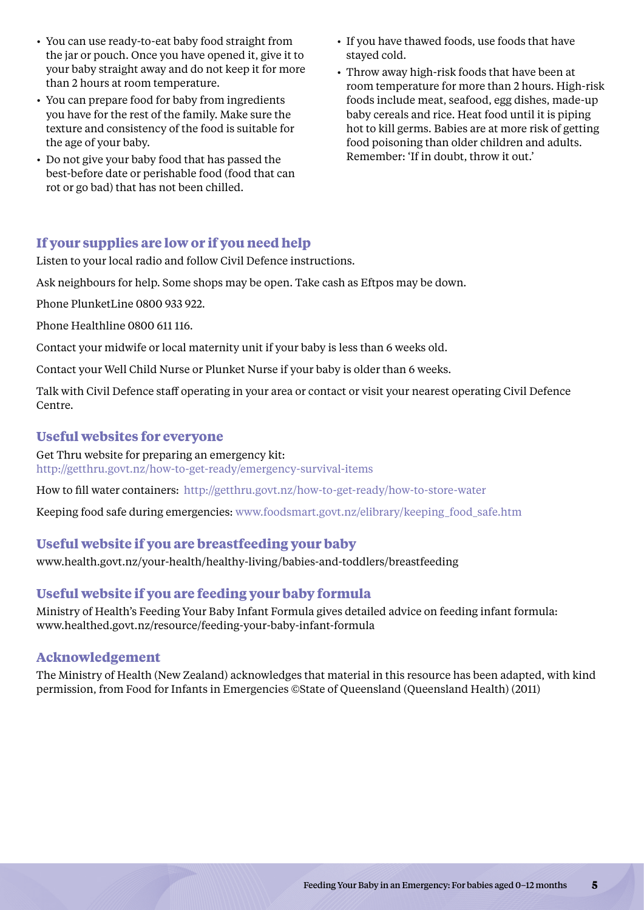- You can use ready-to-eat baby food straight from the jar or pouch. Once you have opened it, give it to your baby straight away and do not keep it for more than 2 hours at room temperature.
- • You can prepare food for baby from ingredients you have for the rest of the family. Make sure the texture and consistency of the food is suitable for the age of your baby.
- Do not give your baby food that has passed the best-before date or perishable food (food that can rot or go bad) that has not been chilled.
- If you have thawed foods, use foods that have stayed cold.
- Throw away high-risk foods that have been at room temperature for more than 2 hours. High-risk foods include meat, seafood, egg dishes, made-up baby cereals and rice. Heat food until it is piping hot to kill germs. Babies are at more risk of getting food poisoning than older children and adults. Remember: 'If in doubt, throw it out.'

# **If your supplies are low or if you need help**

Listen to your local radio and follow Civil Defence instructions.

Ask neighbours for help. Some shops may be open. Take cash as Eftpos may be down.

Phone PlunketLine 0800 933 922.

Phone Healthline 0800 611 116.

Contact your midwife or local maternity unit if your baby is less than 6 weeks old.

Contact your Well Child Nurse or Plunket Nurse if your baby is older than 6 weeks.

Talk with Civil Defence staff operating in your area or contact or visit your nearest operating Civil Defence Centre.

## **Useful websites for everyone**

Get Thru website for preparing an emergency kit:

http://getthru.govt.nz/how-to-get-ready/emergency-survival-items

How to fill water containers: http://getthru.govt.nz/how-to-get-ready/how-to-store-water

Keeping food safe during emergencies: www.foodsmart.govt.nz/elibrary/keeping\_food\_safe.htm

# **Useful website if you are breastfeeding your baby**

www.health.govt.nz/your-health/healthy-living/babies-and-toddlers/breastfeeding

# **Useful website if you are feeding your baby formula**

Ministry of Health's Feeding Your Baby Infant Formula gives detailed advice on feeding infant formula: www.healthed.govt.nz/resource/feeding-your-baby-infant-formula

#### **Acknowledgement**

The Ministry of Health (New Zealand) acknowledges that material in this resource has been adapted, with kind permission, from Food for Infants in Emergencies ©State of Queensland (Queensland Health) (2011)